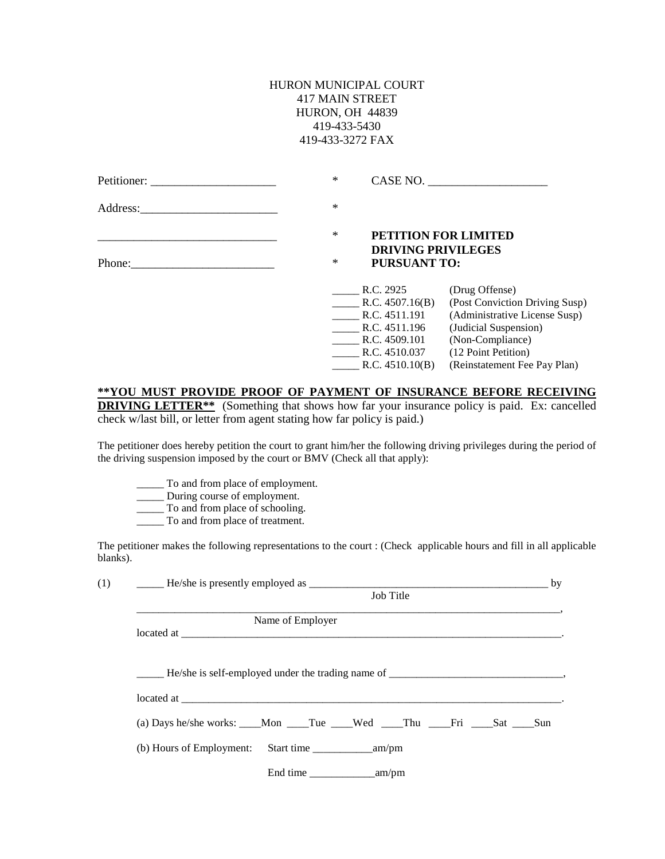## HURON MUNICIPAL COURT 417 MAIN STREET HURON, OH 44839 419-433-5430 419-433-3272 FAX

|                                                                                                                                                                                                                               | ∗      |                                                  | CASE NO.                                                        |
|-------------------------------------------------------------------------------------------------------------------------------------------------------------------------------------------------------------------------------|--------|--------------------------------------------------|-----------------------------------------------------------------|
| Address: Analysis and the same state of the state of the state of the state of the state of the state of the state of the state of the state of the state of the state of the state of the state of the state of the state of | $\ast$ |                                                  |                                                                 |
|                                                                                                                                                                                                                               | ∗      |                                                  | PETITION FOR LIMITED                                            |
|                                                                                                                                                                                                                               | ∗      | <b>DRIVING PRIVILEGES</b><br><b>PURSUANT TO:</b> |                                                                 |
|                                                                                                                                                                                                                               |        | R.C. 2925                                        | (Drug Offense)                                                  |
|                                                                                                                                                                                                                               |        | R.C. 4507.16(B)<br>R.C. 4511.191                 | (Post Conviction Driving Susp)<br>(Administrative License Susp) |
|                                                                                                                                                                                                                               |        | R.C. 4511.196                                    | (Judicial Suspension)                                           |
|                                                                                                                                                                                                                               |        | R.C. 4509.101                                    | (Non-Compliance)                                                |
|                                                                                                                                                                                                                               |        | R.C. 4510.037                                    | (12 Point Petition)                                             |
|                                                                                                                                                                                                                               |        | R.C. 4510.10(B)                                  | (Reinstatement Fee Pay Plan)                                    |

## **\*\*YOU MUST PROVIDE PROOF OF PAYMENT OF INSURANCE BEFORE RECEIVING DRIVING LETTER\*\*** (Something that shows how far your insurance policy is paid. Ex: cancelled check w/last bill, or letter from agent stating how far policy is paid.)

The petitioner does hereby petition the court to grant him/her the following driving privileges during the period of the driving suspension imposed by the court or BMV (Check all that apply):

- \_\_\_\_\_ To and from place of employment.
- \_\_\_\_\_ During course of employment.
- \_\_\_\_\_ To and from place of schooling.
- To and from place of treatment.

The petitioner makes the following representations to the court : (Check applicable hours and fill in all applicable blanks).

| $\qquad \qquad \text{He/she is presently employed as } \qquad \qquad \text{The case we have a specific value of the two times.}$ |                  |  |  |  |
|----------------------------------------------------------------------------------------------------------------------------------|------------------|--|--|--|
| Job Title                                                                                                                        |                  |  |  |  |
|                                                                                                                                  | Name of Employer |  |  |  |
|                                                                                                                                  |                  |  |  |  |
|                                                                                                                                  |                  |  |  |  |
| (a) Days he/she works: ___Mon ___Tue ___Wed ___Thu ___Fri ____Sat ___Sun                                                         |                  |  |  |  |
|                                                                                                                                  |                  |  |  |  |
|                                                                                                                                  |                  |  |  |  |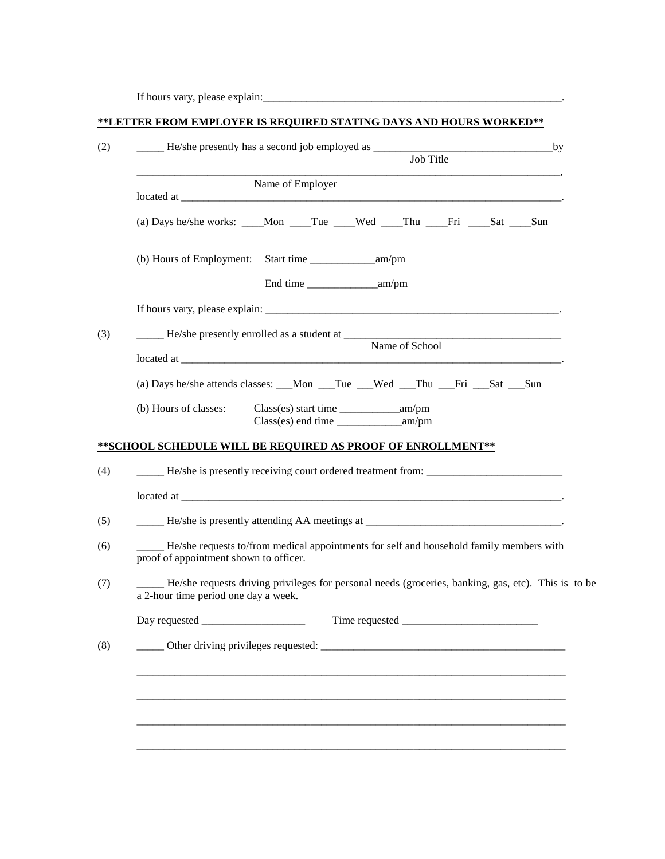If hours vary, please explain:\_\_\_\_\_\_\_\_\_\_\_\_\_\_\_\_\_\_\_\_\_\_\_\_\_\_\_\_\_\_\_\_\_\_\_\_\_\_\_\_\_\_\_\_\_\_\_\_\_\_\_\_\_\_\_.

| **LETTER FROM EMPLOYER IS REQUIRED STATING DAYS AND HOURS WORKED** |  |  |  |
|--------------------------------------------------------------------|--|--|--|

| Job Title                                                                                                                                   |  |  |                                               |                |  |  |  |
|---------------------------------------------------------------------------------------------------------------------------------------------|--|--|-----------------------------------------------|----------------|--|--|--|
| Name of Employer                                                                                                                            |  |  |                                               |                |  |  |  |
| (a) Days he/she works: ____Mon ____Tue ____Wed ____Thu ____Fri ____Sat ____Sun                                                              |  |  |                                               |                |  |  |  |
|                                                                                                                                             |  |  |                                               |                |  |  |  |
|                                                                                                                                             |  |  |                                               |                |  |  |  |
|                                                                                                                                             |  |  |                                               | Name of School |  |  |  |
| (a) Days he/she attends classes: __Mon __Tue __Wed __Thu __Fri __Sat __Sun                                                                  |  |  |                                               |                |  |  |  |
| (b) Hours of classes:                                                                                                                       |  |  | $Class(es)$ end time $\_\_\_\_\_\_\_\_$ am/pm |                |  |  |  |
| ** SCHOOL SCHEDULE WILL BE REQUIRED AS PROOF OF ENROLLMENT **                                                                               |  |  |                                               |                |  |  |  |
| He/she is presently receiving court ordered treatment from: _____________________                                                           |  |  |                                               |                |  |  |  |
|                                                                                                                                             |  |  |                                               |                |  |  |  |
|                                                                                                                                             |  |  |                                               |                |  |  |  |
| He/she requests to/from medical appointments for self and household family members with<br>proof of appointment shown to officer.           |  |  |                                               |                |  |  |  |
| He/she requests driving privileges for personal needs (groceries, banking, gas, etc). This is to be<br>a 2-hour time period one day a week. |  |  |                                               |                |  |  |  |
| Day requested                                                                                                                               |  |  | Time requested                                |                |  |  |  |
|                                                                                                                                             |  |  |                                               |                |  |  |  |
|                                                                                                                                             |  |  |                                               |                |  |  |  |
|                                                                                                                                             |  |  |                                               |                |  |  |  |
|                                                                                                                                             |  |  |                                               |                |  |  |  |